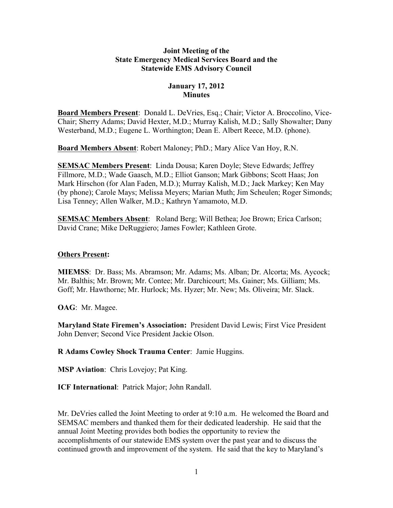#### **Joint Meeting of the State Emergency Medical Services Board and the Statewide EMS Advisory Council**

# **January 17, 2012 Minutes**

**Board Members Present**: Donald L. DeVries, Esq.; Chair; Victor A. Broccolino, Vice-Chair; Sherry Adams; David Hexter, M.D.; Murray Kalish, M.D.; Sally Showalter; Dany Westerband, M.D.; Eugene L. Worthington; Dean E. Albert Reece, M.D. (phone).

**Board Members Absent**: Robert Maloney; PhD.; Mary Alice Van Hoy, R.N.

**SEMSAC Members Present**: Linda Dousa; Karen Doyle; Steve Edwards; Jeffrey Fillmore, M.D.; Wade Gaasch, M.D.; Elliot Ganson; Mark Gibbons; Scott Haas; Jon Mark Hirschon (for Alan Faden, M.D.); Murray Kalish, M.D.; Jack Markey; Ken May (by phone); Carole Mays; Melissa Meyers; Marian Muth; Jim Scheulen; Roger Simonds; Lisa Tenney; Allen Walker, M.D.; Kathryn Yamamoto, M.D.

**SEMSAC Members Absent**: Roland Berg; Will Bethea; Joe Brown; Erica Carlson; David Crane; Mike DeRuggiero; James Fowler; Kathleen Grote.

### **Others Present:**

**MIEMSS**: Dr. Bass; Ms. Abramson; Mr. Adams; Ms. Alban; Dr. Alcorta; Ms. Aycock; Mr. Balthis; Mr. Brown; Mr. Contee; Mr. Darchicourt; Ms. Gainer; Ms. Gilliam; Ms. Goff; Mr. Hawthorne; Mr. Hurlock; Ms. Hyzer; Mr. New; Ms. Oliveira; Mr. Slack.

**OAG**:Mr. Magee.

**Maryland State Firemen's Association:** President David Lewis; First Vice President John Denver; Second Vice President Jackie Olson.

**R Adams Cowley Shock Trauma Center**: Jamie Huggins.

**MSP Aviation**: Chris Lovejoy; Pat King.

**ICF International**: Patrick Major; John Randall.

Mr. DeVries called the Joint Meeting to order at 9:10 a.m. He welcomed the Board and SEMSAC members and thanked them for their dedicated leadership. He said that the annual Joint Meeting provides both bodies the opportunity to review the accomplishments of our statewide EMS system over the past year and to discuss the continued growth and improvement of the system. He said that the key to Maryland's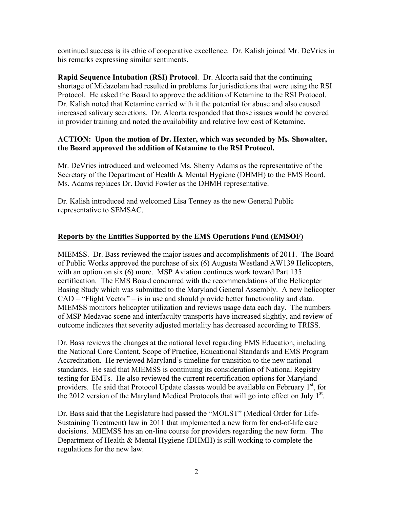continued success is its ethic of cooperative excellence. Dr. Kalish joined Mr. DeVries in his remarks expressing similar sentiments.

**Rapid Sequence Intubation (RSI) Protocol**. Dr. Alcorta said that the continuing shortage of Midazolam had resulted in problems for jurisdictions that were using the RSI Protocol. He asked the Board to approve the addition of Ketamine to the RSI Protocol. Dr. Kalish noted that Ketamine carried with it the potential for abuse and also caused increased salivary secretions. Dr. Alcorta responded that those issues would be covered in provider training and noted the availability and relative low cost of Ketamine.

### **ACTION: Upon the motion of Dr. Hexter, which was seconded by Ms. Showalter, the Board approved the addition of Ketamine to the RSI Protocol.**

Mr. DeVries introduced and welcomed Ms. Sherry Adams as the representative of the Secretary of the Department of Health & Mental Hygiene (DHMH) to the EMS Board. Ms. Adams replaces Dr. David Fowler as the DHMH representative.

Dr. Kalish introduced and welcomed Lisa Tenney as the new General Public representative to SEMSAC.

## **Reports by the Entities Supported by the EMS Operations Fund (EMSOF)**

MIEMSS. Dr. Bass reviewed the major issues and accomplishments of 2011. The Board of Public Works approved the purchase of six (6) Augusta Westland AW139 Helicopters, with an option on six (6) more. MSP Aviation continues work toward Part 135 certification. The EMS Board concurred with the recommendations of the Helicopter Basing Study which was submitted to the Maryland General Assembly. A new helicopter CAD – "Flight Vector" – is in use and should provide better functionality and data. MIEMSS monitors helicopter utilization and reviews usage data each day. The numbers of MSP Medavac scene and interfaculty transports have increased slightly, and review of outcome indicates that severity adjusted mortality has decreased according to TRISS.

Dr. Bass reviews the changes at the national level regarding EMS Education, including the National Core Content, Scope of Practice, Educational Standards and EMS Program Accreditation. He reviewed Maryland's timeline for transition to the new national standards. He said that MIEMSS is continuing its consideration of National Registry testing for EMTs. He also reviewed the current recertification options for Maryland providers. He said that Protocol Update classes would be available on February  $1<sup>st</sup>$ , for the 2012 version of the Maryland Medical Protocols that will go into effect on July  $1<sup>st</sup>$ .

Dr. Bass said that the Legislature had passed the "MOLST" (Medical Order for Life-Sustaining Treatment) law in 2011 that implemented a new form for end-of-life care decisions. MIEMSS has an on-line course for providers regarding the new form. The Department of Health & Mental Hygiene (DHMH) is still working to complete the regulations for the new law.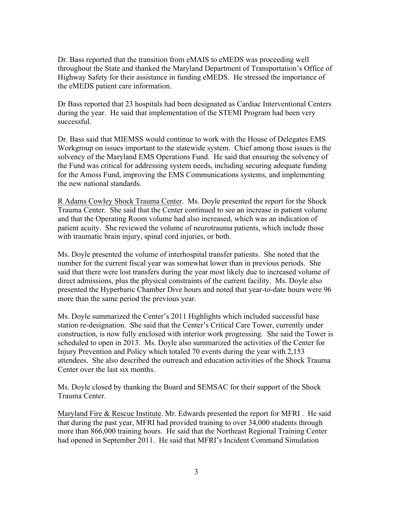Dr. Bass reported that the transition from eMAIS to eMEDS was proceeding well throughout the State and thanked the Maryland Department of Transportation's Office of Highway Safety for their assistance in funding eMEDS. He stressed the importance of the eMEDS patient care information.

Dr Bass reported that 23 hospitals had been designated as Cardiac Interventional Centers during the year. He said that implementation of the STEMI Program had been very successful.

Dr. Bass said that MIEMSS would continue to work with the House of Delegates EMS Workgroup on issues important to the statewide system. Chief among those issues is the solvency of the Maryland EMS Operations Fund. He said that ensuring the solvency of the Fund was critical for addressing system needs, including securing adequate funding for the Amoss Fund, improving the EMS Communications systems, and implementing the new national standards.

R Adams Cowley Shock Trauma Center. Ms. Doyle presented the report for the Shock Trauma Center. She said that the Center continued to see an increase in patient volume and that the Operating Room volume had also increased, which was an indication of patient acuity. She reviewed the volume of neurotrauma patients, which include those with traumatic brain injury, spinal cord injuries, or both.

Ms. Doyle presented the volume of interhospital transfer patients. She noted that the number for the current fiscal year was somewhat lower than in previous periods. She said that there were lost transfers during the year most likely due to increased volume of direct admissions, plus the physical constraints of the current facility. Ms. Doyle also presented the Hyperbaric Chamber Dive hours and noted that year-to-date hours were 96 more than the same period the previous year.

Ms. Doyle summarized the Center's 2011 Highlights which included successful base station re-designation. She said that the Center's Critical Care Tower, currently under construction, is now fully enclosed with interior work progressing. She said the Tower is scheduled to open in 2013. Ms. Doyle also summarized the activities of the Center for Injury Prevention and Policy which totaled 70 events during the year with 2,153 attendees. She also described the outreach and education activities of the Shock Trauma Center over the last six months.

Ms. Doyle closed by thanking the Board and SEMSAC for their support of the Shock Trauma Center.

Maryland Fire & Rescue Institute. Mr. Edwards presented the report for MFRI . He said that during the past year, MFRI had provided training to over 34,000 students through more than 866,000 training hours. He said that the Northeast Regional Training Center had opened in September 2011. He said that MFRI's Incident Command Simulation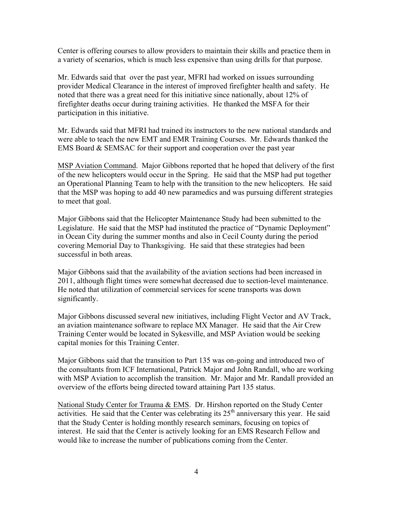Center is offering courses to allow providers to maintain their skills and practice them in a variety of scenarios, which is much less expensive than using drills for that purpose.

Mr. Edwards said that over the past year, MFRI had worked on issues surrounding provider Medical Clearance in the interest of improved firefighter health and safety. He noted that there was a great need for this initiative since nationally, about 12% of firefighter deaths occur during training activities. He thanked the MSFA for their participation in this initiative.

Mr. Edwards said that MFRI had trained its instructors to the new national standards and were able to teach the new EMT and EMR Training Courses. Mr. Edwards thanked the EMS Board & SEMSAC for their support and cooperation over the past year

MSP Aviation Command. Major Gibbons reported that he hoped that delivery of the first of the new helicopters would occur in the Spring. He said that the MSP had put together an Operational Planning Team to help with the transition to the new helicopters. He said that the MSP was hoping to add 40 new paramedics and was pursuing different strategies to meet that goal.

Major Gibbons said that the Helicopter Maintenance Study had been submitted to the Legislature. He said that the MSP had instituted the practice of "Dynamic Deployment" in Ocean City during the summer months and also in Cecil County during the period covering Memorial Day to Thanksgiving. He said that these strategies had been successful in both areas.

Major Gibbons said that the availability of the aviation sections had been increased in 2011, although flight times were somewhat decreased due to section-level maintenance. He noted that utilization of commercial services for scene transports was down significantly.

Major Gibbons discussed several new initiatives, including Flight Vector and AV Track, an aviation maintenance software to replace MX Manager. He said that the Air Crew Training Center would be located in Sykesville, and MSP Aviation would be seeking capital monies for this Training Center.

Major Gibbons said that the transition to Part 135 was on-going and introduced two of the consultants from ICF International, Patrick Major and John Randall, who are working with MSP Aviation to accomplish the transition. Mr. Major and Mr. Randall provided an overview of the efforts being directed toward attaining Part 135 status.

National Study Center for Trauma & EMS. Dr. Hirshon reported on the Study Center activities. He said that the Center was celebrating its  $25<sup>th</sup>$  anniversary this year. He said that the Study Center is holding monthly research seminars, focusing on topics of interest. He said that the Center is actively looking for an EMS Research Fellow and would like to increase the number of publications coming from the Center.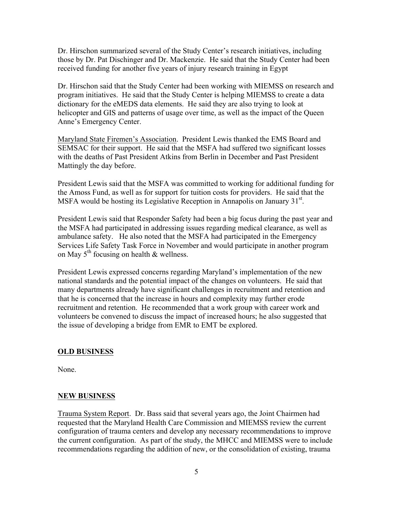Dr. Hirschon summarized several of the Study Center's research initiatives, including those by Dr. Pat Dischinger and Dr. Mackenzie. He said that the Study Center had been received funding for another five years of injury research training in Egypt

Dr. Hirschon said that the Study Center had been working with MIEMSS on research and program initiatives. He said that the Study Center is helping MIEMSS to create a data dictionary for the eMEDS data elements. He said they are also trying to look at helicopter and GIS and patterns of usage over time, as well as the impact of the Queen Anne's Emergency Center.

Maryland State Firemen's Association. President Lewis thanked the EMS Board and SEMSAC for their support. He said that the MSFA had suffered two significant losses with the deaths of Past President Atkins from Berlin in December and Past President Mattingly the day before.

President Lewis said that the MSFA was committed to working for additional funding for the Amoss Fund, as well as for support for tuition costs for providers. He said that the MSFA would be hosting its Legislative Reception in Annapolis on January  $31<sup>st</sup>$ .

President Lewis said that Responder Safety had been a big focus during the past year and the MSFA had participated in addressing issues regarding medical clearance, as well as ambulance safety. He also noted that the MSFA had participated in the Emergency Services Life Safety Task Force in November and would participate in another program on May  $5<sup>th</sup>$  focusing on health & wellness.

President Lewis expressed concerns regarding Maryland's implementation of the new national standards and the potential impact of the changes on volunteers. He said that many departments already have significant challenges in recruitment and retention and that he is concerned that the increase in hours and complexity may further erode recruitment and retention. He recommended that a work group with career work and volunteers be convened to discuss the impact of increased hours; he also suggested that the issue of developing a bridge from EMR to EMT be explored.

## **OLD BUSINESS**

None.

#### **NEW BUSINESS**

Trauma System Report. Dr. Bass said that several years ago, the Joint Chairmen had requested that the Maryland Health Care Commission and MIEMSS review the current configuration of trauma centers and develop any necessary recommendations to improve the current configuration. As part of the study, the MHCC and MIEMSS were to include recommendations regarding the addition of new, or the consolidation of existing, trauma